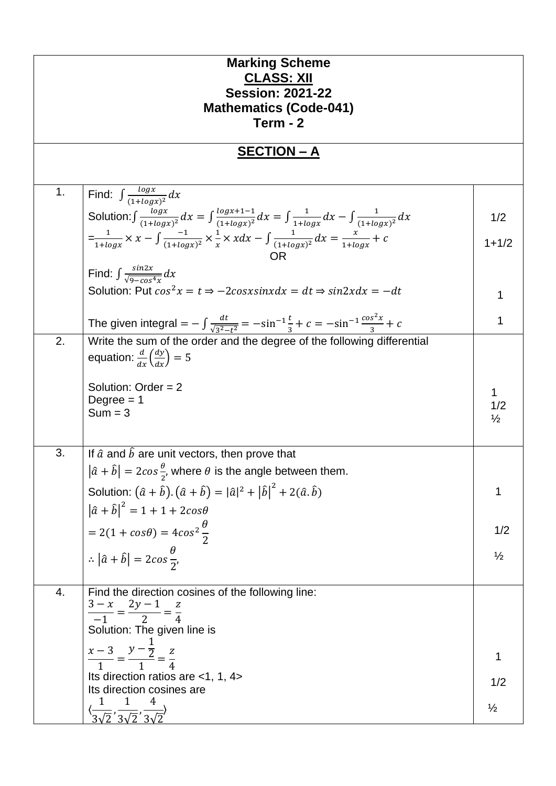|                    | <b>Marking Scheme</b><br><b>CLASS: XII</b><br><b>Session: 2021-22</b><br><b>Mathematics (Code-041)</b>                                                      |               |  |
|--------------------|-------------------------------------------------------------------------------------------------------------------------------------------------------------|---------------|--|
|                    | Term - 2                                                                                                                                                    |               |  |
| <u>SECTION - A</u> |                                                                                                                                                             |               |  |
|                    |                                                                                                                                                             |               |  |
| 1.                 | Find: $\int \frac{\log x}{(1 + \log x)^2} dx$                                                                                                               |               |  |
|                    | Solution: $\int \frac{\log x}{(1+\log x)^2} dx = \int \frac{\log x + 1 - 1}{(1+\log x)^2} dx = \int \frac{1}{1+\log x} dx - \int \frac{1}{(1+\log x)^2} dx$ | 1/2           |  |
|                    | $=\frac{1}{1+log x} \times x - \int \frac{-1}{(1+log x)^2} \times \frac{1}{x} \times x dx - \int \frac{1}{(1+log x)^2} dx = \frac{x}{1+log x} + c$<br>OR)   | $1 + 1/2$     |  |
|                    | Find: $\int \frac{\sin 2x}{\sqrt{2}} dx$                                                                                                                    |               |  |
|                    | Solution: Put $cos^2 x = t \Rightarrow -2cosxsinx dx = dt \Rightarrow sin2xdx = -dt$                                                                        | 1             |  |
|                    | The given integral = $-\int \frac{dt}{\sqrt{3^2-t^2}} = -\sin^{-1}\frac{t}{3} + c = -\sin^{-1}\frac{\cos^2 x}{3} + c$                                       | 1             |  |
| 2.                 | Write the sum of the order and the degree of the following differential<br>equation: $\frac{d}{dx} \left( \frac{dy}{dx} \right) = 5$                        |               |  |
|                    | Solution: Order $= 2$                                                                                                                                       |               |  |
|                    | Degree $= 1$                                                                                                                                                | 1<br>1/2      |  |
|                    | $Sum = 3$                                                                                                                                                   | $\frac{1}{2}$ |  |
| 3.                 | If $\hat{a}$ and $\hat{b}$ are unit vectors, then prove that                                                                                                |               |  |
|                    | $ \hat{a} + \hat{b}  = 2\cos{\frac{\theta}{2}}$ , where $\theta$ is the angle between them.                                                                 |               |  |
|                    | Solution: $(\hat{a} + \hat{b}) \cdot (\hat{a} + \hat{b}) =  \hat{a} ^2 +  \hat{b} ^2 + 2(\hat{a} \cdot \hat{b})$                                            | 1             |  |
|                    | $ \hat{a} + \hat{b} ^2 = 1 + 1 + 2cos\theta$                                                                                                                |               |  |
|                    | $= 2(1 + cos\theta) = 4cos^2\frac{\theta}{2}$                                                                                                               | 1/2           |  |
|                    | $\therefore  \hat{a} + \hat{b}  = 2cos\frac{\theta}{2},$                                                                                                    | $\frac{1}{2}$ |  |
|                    |                                                                                                                                                             |               |  |
| 4.                 | Find the direction cosines of the following line:                                                                                                           |               |  |
|                    | $\frac{3-x}{-1} = \frac{2y-1}{2} = \frac{z}{4}$                                                                                                             |               |  |
|                    | Solution: The given line is                                                                                                                                 |               |  |
|                    | $\frac{x-3}{1} = \frac{y-\frac{1}{2}}{1} = \frac{z}{4}$                                                                                                     |               |  |
|                    | Its direction ratios are <1, 1, 4>                                                                                                                          | 1/2           |  |
|                    | Its direction cosines are                                                                                                                                   |               |  |
|                    | $\langle \frac{1}{3\sqrt{2}}, \frac{1}{3\sqrt{2}}, \frac{4}{3\sqrt{2}} \rangle$                                                                             | $\frac{1}{2}$ |  |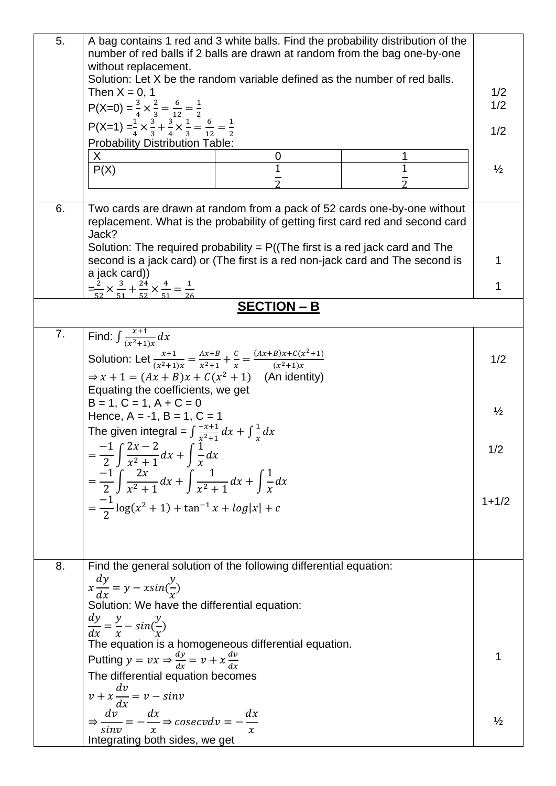| 5. | number of red balls if 2 balls are drawn at random from the bag one-by-one<br>without replacement.<br>Then $X = 0$ , 1<br>$P(X=0) = \frac{3}{4} \times \frac{2}{3} = \frac{6}{12} = \frac{1}{2}$<br>P(X=1) = $\frac{1}{4} \times \frac{3}{3} + \frac{3}{4} \times \frac{1}{3} = \frac{6}{12} = \frac{1}{2}$<br><b>Probability Distribution Table:</b><br>X<br>P(X) | Solution: Let X be the random variable defined as the number of red balls.<br>0 | A bag contains 1 red and 3 white balls. Find the probability distribution of the<br>$\mathbf 1$ | 1/2<br>1/2<br>1/2<br>$\frac{1}{2}$ |
|----|--------------------------------------------------------------------------------------------------------------------------------------------------------------------------------------------------------------------------------------------------------------------------------------------------------------------------------------------------------------------|---------------------------------------------------------------------------------|-------------------------------------------------------------------------------------------------|------------------------------------|
| 6. |                                                                                                                                                                                                                                                                                                                                                                    |                                                                                 | Two cards are drawn at random from a pack of 52 cards one-by-one without                        |                                    |
|    | Jack?                                                                                                                                                                                                                                                                                                                                                              |                                                                                 | replacement. What is the probability of getting first card red and second card                  |                                    |
|    | Solution: The required probability = $P((The first is a red jack card and The$<br>second is a jack card) or (The first is a red non-jack card and The second is                                                                                                                                                                                                    |                                                                                 |                                                                                                 |                                    |
|    | a jack card))<br>$=\frac{2}{52} \times \frac{3}{51} + \frac{24}{52} \times \frac{4}{51} = \frac{1}{36}$                                                                                                                                                                                                                                                            |                                                                                 |                                                                                                 |                                    |
|    |                                                                                                                                                                                                                                                                                                                                                                    | <b>SECTION - B</b>                                                              |                                                                                                 |                                    |
| 7. | Find: $\int \frac{x+1}{(x^2+1)x} dx$                                                                                                                                                                                                                                                                                                                               |                                                                                 |                                                                                                 |                                    |
|    | Solution: Let $\frac{x+1}{(x^2+1)x} = \frac{Ax+B}{x^2+1} + \frac{C}{x} = \frac{(Ax+B)x+C(x^2+1)}{(x^2+1)x}$                                                                                                                                                                                                                                                        |                                                                                 |                                                                                                 | 1/2                                |
|    | $\Rightarrow$ x + 1 = $(Ax + B)x + C(x^2 + 1)$ (An identity)                                                                                                                                                                                                                                                                                                       |                                                                                 |                                                                                                 |                                    |
|    | Equating the coefficients, we get<br>$B = 1, C = 1, A + C = 0$                                                                                                                                                                                                                                                                                                     |                                                                                 |                                                                                                 |                                    |
|    | Hence, $A = -1$ , $B = 1$ , $C = 1$                                                                                                                                                                                                                                                                                                                                |                                                                                 |                                                                                                 | $\frac{1}{2}$                      |
|    | The given integral = $\int \frac{-x+1}{x^2+1} dx + \int \frac{1}{x} dx$<br>$=\frac{-1}{2}\int \frac{2x-2}{x^2+1}dx+\int \frac{1}{x}dx$                                                                                                                                                                                                                             |                                                                                 |                                                                                                 | 1/2                                |
|    |                                                                                                                                                                                                                                                                                                                                                                    |                                                                                 |                                                                                                 |                                    |
|    | $=\frac{-1}{2}\int \frac{2x}{x^2+1}dx + \int \frac{1}{x^2+1}dx + \int \frac{1}{x}dx$                                                                                                                                                                                                                                                                               |                                                                                 |                                                                                                 |                                    |
|    | $=\frac{-1}{2}\log(x^2+1)+\tan^{-1}x+\log x +c$                                                                                                                                                                                                                                                                                                                    |                                                                                 |                                                                                                 | $1 + 1/2$                          |
|    |                                                                                                                                                                                                                                                                                                                                                                    |                                                                                 |                                                                                                 |                                    |
| 8. |                                                                                                                                                                                                                                                                                                                                                                    | Find the general solution of the following differential equation:               |                                                                                                 |                                    |
|    | $x\frac{dy}{dx} = y - x\sin(\frac{y}{x})$                                                                                                                                                                                                                                                                                                                          |                                                                                 |                                                                                                 |                                    |
|    | Solution: We have the differential equation:                                                                                                                                                                                                                                                                                                                       |                                                                                 |                                                                                                 |                                    |
|    | $\frac{dy}{dx} = \frac{y}{x} - \sin(\frac{y}{x})$                                                                                                                                                                                                                                                                                                                  |                                                                                 |                                                                                                 |                                    |
|    | Putting $y = vx \Rightarrow \frac{dy}{dx} = v + x \frac{dv}{dx}$                                                                                                                                                                                                                                                                                                   | The equation is a homogeneous differential equation.                            |                                                                                                 |                                    |
|    | The differential equation becomes                                                                                                                                                                                                                                                                                                                                  |                                                                                 |                                                                                                 |                                    |
|    | $v + x \frac{dv}{dx} = v - sin v$                                                                                                                                                                                                                                                                                                                                  |                                                                                 |                                                                                                 |                                    |
|    | $\Rightarrow \frac{dv}{sinv} = -\frac{dx}{x} \Rightarrow cosecv dv = -\frac{dx}{x}$                                                                                                                                                                                                                                                                                |                                                                                 |                                                                                                 | $\frac{1}{2}$                      |
|    | Integrating both sides, we get                                                                                                                                                                                                                                                                                                                                     |                                                                                 |                                                                                                 |                                    |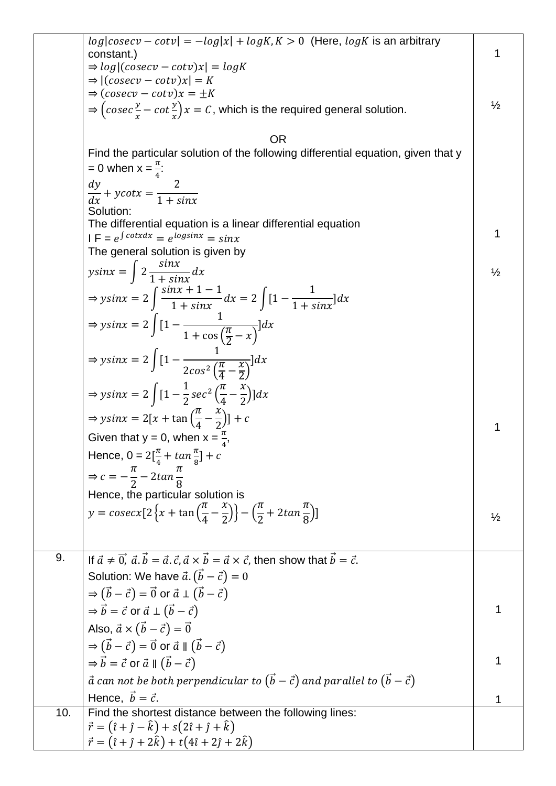|     | $log cosecv - cotv  = -log x  + logK$ , $K > 0$ (Here, $logK$ is an arbitrary<br>constant.)<br>$\Rightarrow$ log (cosecv – cotv)x  = logK<br>$\Rightarrow$ $  (cosecv - cotv)x  = K$<br>$\Rightarrow$ $(cosecv - cotv)x = \pm K$<br>$\Rightarrow$ $\left(\csc \frac{y}{x} - \cot \frac{y}{x}\right)x = C$ , which is the required general solution.<br><b>OR</b><br>Find the particular solution of the following differential equation, given that y<br>$= 0$ when $x = \frac{\pi}{4}$ : | 1<br>$\frac{1}{2}$ |
|-----|-------------------------------------------------------------------------------------------------------------------------------------------------------------------------------------------------------------------------------------------------------------------------------------------------------------------------------------------------------------------------------------------------------------------------------------------------------------------------------------------|--------------------|
|     | $\frac{dy}{dx} + ycotx = \frac{2}{1 + sinx}$                                                                                                                                                                                                                                                                                                                                                                                                                                              |                    |
|     | Solution:<br>The differential equation is a linear differential equation<br>$IF = e^{\int cotxdx} = e^{\log sinx} = \sin x$<br>The general solution is given by                                                                                                                                                                                                                                                                                                                           | 1                  |
|     | $y\sin x = \int 2 \frac{\sin x}{1 + \sin x} dx$                                                                                                                                                                                                                                                                                                                                                                                                                                           | $\frac{1}{2}$      |
|     | $\Rightarrow ysinx = 2 \int \frac{sinx + 1 - 1}{1 + sinx} dx = 2 \int [1 - \frac{1}{1 + sinx}] dx$                                                                                                                                                                                                                                                                                                                                                                                        |                    |
|     | $\Rightarrow ysinx = 2\int [1 - \frac{1}{1 + \cos(\frac{\pi}{2} - x)}]dx$                                                                                                                                                                                                                                                                                                                                                                                                                 |                    |
|     | $\Rightarrow ysinx = 2\int [1 - \frac{1}{2cos^2(\frac{\pi}{4} - \frac{x}{2})}]dx$                                                                                                                                                                                                                                                                                                                                                                                                         |                    |
|     | $\Rightarrow$ ysinx = 2 $\int [1 - \frac{1}{2} \sec^2 \left( \frac{\pi}{4} - \frac{x}{2} \right)] dx$                                                                                                                                                                                                                                                                                                                                                                                     |                    |
|     | $\Rightarrow$ ysinx = 2[x + tan $\left(\frac{\pi}{4} - \frac{x}{2}\right)$ ] + c                                                                                                                                                                                                                                                                                                                                                                                                          | 1                  |
|     | Given that $y = 0$ , when $x = \frac{\pi}{4}$ ,                                                                                                                                                                                                                                                                                                                                                                                                                                           |                    |
|     | Hence, $0 = 2[\frac{\pi}{4} + \tan{\frac{\pi}{8}}] + c$                                                                                                                                                                                                                                                                                                                                                                                                                                   |                    |
|     | $\Rightarrow c = -\frac{\pi}{2} - 2\tan{\frac{\pi}{8}}$<br>Hence, the particular solution is                                                                                                                                                                                                                                                                                                                                                                                              |                    |
|     | y = cosecx[2 $\left\{x + \tan\left(\frac{\pi}{4} - \frac{x}{2}\right)\right\} - \left(\frac{\pi}{2} + 2\tan\frac{\pi}{8}\right)\right\}$                                                                                                                                                                                                                                                                                                                                                  |                    |
|     |                                                                                                                                                                                                                                                                                                                                                                                                                                                                                           | $\frac{1}{2}$      |
| 9.  | If $\vec{a} \neq \vec{0}$ , $\vec{a} \cdot \vec{b} = \vec{a} \cdot \vec{c}$ , $\vec{a} \times \vec{b} = \vec{a} \times \vec{c}$ , then show that $\vec{b} = \vec{c}$ .                                                                                                                                                                                                                                                                                                                    |                    |
|     | Solution: We have $\vec{a} \cdot (\vec{b} - \vec{c}) = 0$                                                                                                                                                                                                                                                                                                                                                                                                                                 |                    |
|     | $\Rightarrow$ $(\vec{b} - \vec{c}) = \vec{0}$ or $\vec{a} \perp (\vec{b} - \vec{c})$                                                                                                                                                                                                                                                                                                                                                                                                      |                    |
|     | $\Rightarrow \vec{b} = \vec{c}$ or $\vec{a} \perp (\vec{b} - \vec{c})$                                                                                                                                                                                                                                                                                                                                                                                                                    |                    |
|     | Also, $\vec{a} \times (\vec{b} - \vec{c}) = \vec{0}$                                                                                                                                                                                                                                                                                                                                                                                                                                      |                    |
|     | $\Rightarrow$ $(\vec{b} - \vec{c}) = \vec{0}$ or $\vec{a} \parallel (\vec{b} - \vec{c})$                                                                                                                                                                                                                                                                                                                                                                                                  |                    |
|     | $\Rightarrow \vec{b} = \vec{c}$ or $\vec{a} \parallel (\vec{b} - \vec{c})$                                                                                                                                                                                                                                                                                                                                                                                                                |                    |
|     | $\vec{a}$ can not be both perpendicular to $(\vec{b} - \vec{c})$ and parallel to $(\vec{b} - \vec{c})$                                                                                                                                                                                                                                                                                                                                                                                    |                    |
|     | Hence, $\vec{b} = \vec{c}$ .                                                                                                                                                                                                                                                                                                                                                                                                                                                              |                    |
| 10. | Find the shortest distance between the following lines:                                                                                                                                                                                                                                                                                                                                                                                                                                   |                    |
|     | $\vec{r} = (\hat{i} + \hat{j} - \hat{k}) + s(2\hat{i} + \hat{j} + \hat{k})$<br>$\vec{r} = (\hat{i} + \hat{j} + 2\hat{k}) + t(4\hat{i} + 2\hat{j} + 2\hat{k})$                                                                                                                                                                                                                                                                                                                             |                    |
|     |                                                                                                                                                                                                                                                                                                                                                                                                                                                                                           |                    |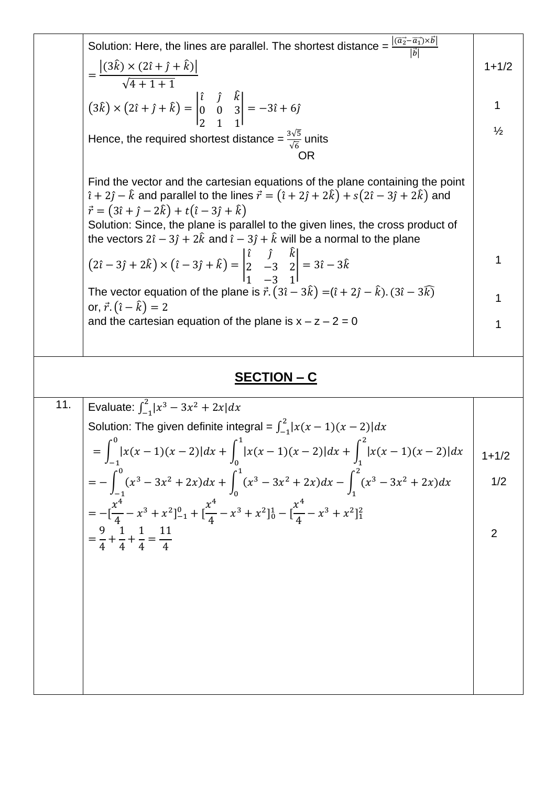| $=\frac{\left (3\hat{k})\times(2\hat{\iota}+\hat{\jmath}+\hat{k})\right }{\sqrt{4+1+1}}$<br>$1 + 1/2$<br>$(3\hat{k}) \times (2\hat{i} + \hat{j} + \hat{k}) = \begin{vmatrix} \hat{i} & \hat{j} & k \\ 0 & 0 & 3 \\ 2 & 1 & 1 \end{vmatrix} = -3\hat{i} + 6\hat{j}$<br>1<br>$\frac{1}{2}$<br>Hence, the required shortest distance = $\frac{3\sqrt{5}}{\sqrt{6}}$ units<br><b>OR</b><br>Find the vector and the cartesian equations of the plane containing the point<br>$\hat{i} + 2\hat{j} - \hat{k}$ and parallel to the lines $\vec{r} = (\hat{i} + 2\hat{j} + 2\hat{k}) + s(2\hat{i} - 3\hat{j} + 2\hat{k})$ and<br>$\vec{r} = (3\hat{i} + \hat{j} - 2\hat{k}) + t(\hat{i} - 3\hat{j} + \hat{k})$<br>Solution: Since, the plane is parallel to the given lines, the cross product of<br>the vectors $2\hat{i} - 3\hat{j} + 2\hat{k}$ and $\hat{i} - 3\hat{j} + \hat{k}$ will be a normal to the plane<br>$(2\hat{i} - 3\hat{j} + 2\hat{k}) \times (\hat{i} - 3\hat{j} + \hat{k}) = \begin{vmatrix} \hat{i} & \hat{j} & k \\ 2 & -3 & 2 \\ 1 & 2 & 1 \end{vmatrix} = 3\hat{i} - 3\hat{k}$<br>1<br>The vector equation of the plane is $\vec{r} \cdot (3\hat{i} - 3\hat{k}) = (\hat{i} + 2\hat{j} - \hat{k}) \cdot (3\hat{i} - 3\hat{k})$<br>1<br>or, $\vec{r} \cdot (\hat{i} - \hat{k}) = 2$<br>and the cartesian equation of the plane is $x - z - 2 = 0$<br>1 |     |                                                                                                                                       |           |
|--------------------------------------------------------------------------------------------------------------------------------------------------------------------------------------------------------------------------------------------------------------------------------------------------------------------------------------------------------------------------------------------------------------------------------------------------------------------------------------------------------------------------------------------------------------------------------------------------------------------------------------------------------------------------------------------------------------------------------------------------------------------------------------------------------------------------------------------------------------------------------------------------------------------------------------------------------------------------------------------------------------------------------------------------------------------------------------------------------------------------------------------------------------------------------------------------------------------------------------------------------------------------------------------------------------------------------------------------------------------|-----|---------------------------------------------------------------------------------------------------------------------------------------|-----------|
|                                                                                                                                                                                                                                                                                                                                                                                                                                                                                                                                                                                                                                                                                                                                                                                                                                                                                                                                                                                                                                                                                                                                                                                                                                                                                                                                                                    |     |                                                                                                                                       |           |
|                                                                                                                                                                                                                                                                                                                                                                                                                                                                                                                                                                                                                                                                                                                                                                                                                                                                                                                                                                                                                                                                                                                                                                                                                                                                                                                                                                    |     |                                                                                                                                       |           |
|                                                                                                                                                                                                                                                                                                                                                                                                                                                                                                                                                                                                                                                                                                                                                                                                                                                                                                                                                                                                                                                                                                                                                                                                                                                                                                                                                                    |     |                                                                                                                                       |           |
|                                                                                                                                                                                                                                                                                                                                                                                                                                                                                                                                                                                                                                                                                                                                                                                                                                                                                                                                                                                                                                                                                                                                                                                                                                                                                                                                                                    |     |                                                                                                                                       |           |
|                                                                                                                                                                                                                                                                                                                                                                                                                                                                                                                                                                                                                                                                                                                                                                                                                                                                                                                                                                                                                                                                                                                                                                                                                                                                                                                                                                    |     |                                                                                                                                       |           |
|                                                                                                                                                                                                                                                                                                                                                                                                                                                                                                                                                                                                                                                                                                                                                                                                                                                                                                                                                                                                                                                                                                                                                                                                                                                                                                                                                                    |     |                                                                                                                                       |           |
|                                                                                                                                                                                                                                                                                                                                                                                                                                                                                                                                                                                                                                                                                                                                                                                                                                                                                                                                                                                                                                                                                                                                                                                                                                                                                                                                                                    |     |                                                                                                                                       |           |
|                                                                                                                                                                                                                                                                                                                                                                                                                                                                                                                                                                                                                                                                                                                                                                                                                                                                                                                                                                                                                                                                                                                                                                                                                                                                                                                                                                    |     |                                                                                                                                       |           |
|                                                                                                                                                                                                                                                                                                                                                                                                                                                                                                                                                                                                                                                                                                                                                                                                                                                                                                                                                                                                                                                                                                                                                                                                                                                                                                                                                                    |     |                                                                                                                                       |           |
|                                                                                                                                                                                                                                                                                                                                                                                                                                                                                                                                                                                                                                                                                                                                                                                                                                                                                                                                                                                                                                                                                                                                                                                                                                                                                                                                                                    |     |                                                                                                                                       |           |
|                                                                                                                                                                                                                                                                                                                                                                                                                                                                                                                                                                                                                                                                                                                                                                                                                                                                                                                                                                                                                                                                                                                                                                                                                                                                                                                                                                    |     |                                                                                                                                       |           |
| <u>SECTION – C</u>                                                                                                                                                                                                                                                                                                                                                                                                                                                                                                                                                                                                                                                                                                                                                                                                                                                                                                                                                                                                                                                                                                                                                                                                                                                                                                                                                 |     |                                                                                                                                       |           |
|                                                                                                                                                                                                                                                                                                                                                                                                                                                                                                                                                                                                                                                                                                                                                                                                                                                                                                                                                                                                                                                                                                                                                                                                                                                                                                                                                                    | 11. | Evaluate: $\int_{-1}^{2}  x^3 - 3x^2 + 2x  dx$                                                                                        |           |
|                                                                                                                                                                                                                                                                                                                                                                                                                                                                                                                                                                                                                                                                                                                                                                                                                                                                                                                                                                                                                                                                                                                                                                                                                                                                                                                                                                    |     | Solution: The given definite integral = $\int_{-1}^{2}  x(x-1)(x-2)  dx$                                                              |           |
|                                                                                                                                                                                                                                                                                                                                                                                                                                                                                                                                                                                                                                                                                                                                                                                                                                                                                                                                                                                                                                                                                                                                                                                                                                                                                                                                                                    |     |                                                                                                                                       | $1 + 1/2$ |
| $= \int_{-1}^{0}  x(x-1)(x-2)  dx + \int_{0}^{1}  x(x-1)(x-2)  dx + \int_{1}^{2}  x(x-1)(x-2)  dx$                                                                                                                                                                                                                                                                                                                                                                                                                                                                                                                                                                                                                                                                                                                                                                                                                                                                                                                                                                                                                                                                                                                                                                                                                                                                 |     |                                                                                                                                       | 1/2       |
| $= -\int_{-1}^{0} (x^3 - 3x^2 + 2x) dx + \int_{0}^{1} (x^3 - 3x^2 + 2x) dx - \int_{1}^{2} (x^3 - 3x^2 + 2x) dx$                                                                                                                                                                                                                                                                                                                                                                                                                                                                                                                                                                                                                                                                                                                                                                                                                                                                                                                                                                                                                                                                                                                                                                                                                                                    |     |                                                                                                                                       |           |
|                                                                                                                                                                                                                                                                                                                                                                                                                                                                                                                                                                                                                                                                                                                                                                                                                                                                                                                                                                                                                                                                                                                                                                                                                                                                                                                                                                    |     |                                                                                                                                       |           |
| $= -[\frac{x^4}{4} - x^3 + x^2]_{-1}^0 + [\frac{x^4}{4} - x^3 + x^2]_0^1 - [\frac{x^4}{4} - x^3 + x^2]_1^2$<br>$=\frac{9}{4}+\frac{1}{4}+\frac{1}{4}=\frac{11}{4}$<br>$\overline{2}$                                                                                                                                                                                                                                                                                                                                                                                                                                                                                                                                                                                                                                                                                                                                                                                                                                                                                                                                                                                                                                                                                                                                                                               |     |                                                                                                                                       |           |
|                                                                                                                                                                                                                                                                                                                                                                                                                                                                                                                                                                                                                                                                                                                                                                                                                                                                                                                                                                                                                                                                                                                                                                                                                                                                                                                                                                    |     |                                                                                                                                       |           |
|                                                                                                                                                                                                                                                                                                                                                                                                                                                                                                                                                                                                                                                                                                                                                                                                                                                                                                                                                                                                                                                                                                                                                                                                                                                                                                                                                                    |     |                                                                                                                                       |           |
|                                                                                                                                                                                                                                                                                                                                                                                                                                                                                                                                                                                                                                                                                                                                                                                                                                                                                                                                                                                                                                                                                                                                                                                                                                                                                                                                                                    |     |                                                                                                                                       |           |
|                                                                                                                                                                                                                                                                                                                                                                                                                                                                                                                                                                                                                                                                                                                                                                                                                                                                                                                                                                                                                                                                                                                                                                                                                                                                                                                                                                    |     |                                                                                                                                       |           |
|                                                                                                                                                                                                                                                                                                                                                                                                                                                                                                                                                                                                                                                                                                                                                                                                                                                                                                                                                                                                                                                                                                                                                                                                                                                                                                                                                                    |     |                                                                                                                                       |           |
|                                                                                                                                                                                                                                                                                                                                                                                                                                                                                                                                                                                                                                                                                                                                                                                                                                                                                                                                                                                                                                                                                                                                                                                                                                                                                                                                                                    |     |                                                                                                                                       |           |
|                                                                                                                                                                                                                                                                                                                                                                                                                                                                                                                                                                                                                                                                                                                                                                                                                                                                                                                                                                                                                                                                                                                                                                                                                                                                                                                                                                    |     |                                                                                                                                       |           |
|                                                                                                                                                                                                                                                                                                                                                                                                                                                                                                                                                                                                                                                                                                                                                                                                                                                                                                                                                                                                                                                                                                                                                                                                                                                                                                                                                                    |     |                                                                                                                                       |           |
|                                                                                                                                                                                                                                                                                                                                                                                                                                                                                                                                                                                                                                                                                                                                                                                                                                                                                                                                                                                                                                                                                                                                                                                                                                                                                                                                                                    |     |                                                                                                                                       |           |
|                                                                                                                                                                                                                                                                                                                                                                                                                                                                                                                                                                                                                                                                                                                                                                                                                                                                                                                                                                                                                                                                                                                                                                                                                                                                                                                                                                    |     |                                                                                                                                       |           |
|                                                                                                                                                                                                                                                                                                                                                                                                                                                                                                                                                                                                                                                                                                                                                                                                                                                                                                                                                                                                                                                                                                                                                                                                                                                                                                                                                                    |     |                                                                                                                                       |           |
|                                                                                                                                                                                                                                                                                                                                                                                                                                                                                                                                                                                                                                                                                                                                                                                                                                                                                                                                                                                                                                                                                                                                                                                                                                                                                                                                                                    |     |                                                                                                                                       |           |
|                                                                                                                                                                                                                                                                                                                                                                                                                                                                                                                                                                                                                                                                                                                                                                                                                                                                                                                                                                                                                                                                                                                                                                                                                                                                                                                                                                    |     |                                                                                                                                       |           |
|                                                                                                                                                                                                                                                                                                                                                                                                                                                                                                                                                                                                                                                                                                                                                                                                                                                                                                                                                                                                                                                                                                                                                                                                                                                                                                                                                                    |     |                                                                                                                                       |           |
|                                                                                                                                                                                                                                                                                                                                                                                                                                                                                                                                                                                                                                                                                                                                                                                                                                                                                                                                                                                                                                                                                                                                                                                                                                                                                                                                                                    |     |                                                                                                                                       |           |
|                                                                                                                                                                                                                                                                                                                                                                                                                                                                                                                                                                                                                                                                                                                                                                                                                                                                                                                                                                                                                                                                                                                                                                                                                                                                                                                                                                    |     | Solution: Here, the lines are parallel. The shortest distance = $\frac{ (\overline{a_2} - \overline{a_1}) \times b }{ \overline{b} }$ |           |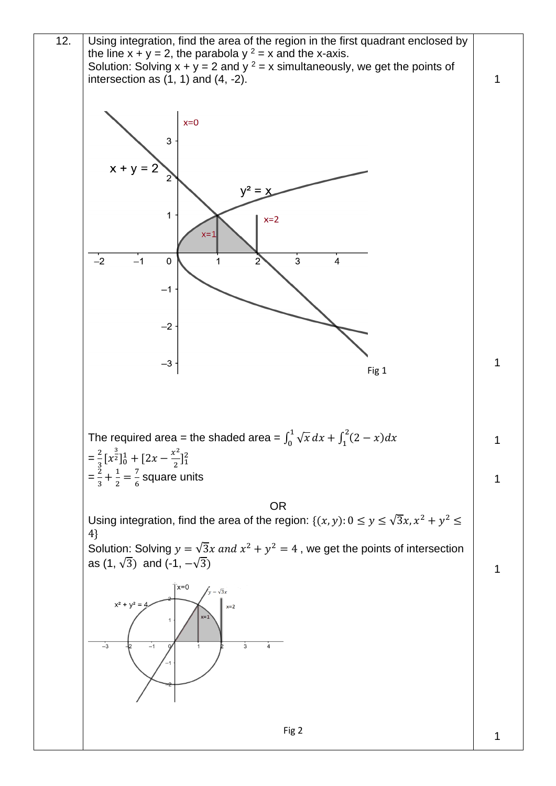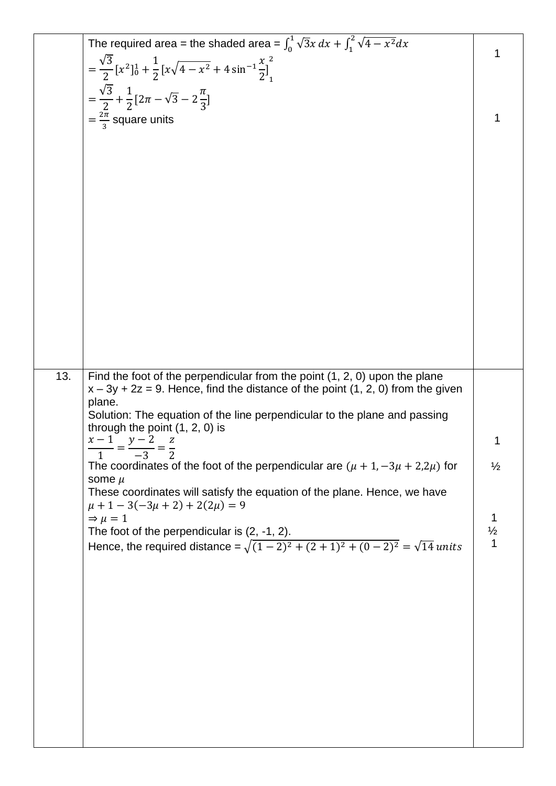|     | The required area = the shaded area = $\int_0^1 \sqrt{3}x \, dx + \int_1^2 \sqrt{4-x^2} dx$                                                                        |                    |
|-----|--------------------------------------------------------------------------------------------------------------------------------------------------------------------|--------------------|
|     | $= \frac{\sqrt{3}}{2} [x^2]_0^1 + \frac{1}{2} [x \sqrt{4 - x^2} + 4 \sin^{-1} \frac{x}{2}]_1^2$                                                                    | 1                  |
|     |                                                                                                                                                                    |                    |
|     | $=\frac{\sqrt{3}}{2}+\frac{1}{2}[2\pi-\sqrt{3}-2\frac{\pi}{3}]$                                                                                                    |                    |
|     | $=\frac{2\pi}{3}$ square units                                                                                                                                     |                    |
|     |                                                                                                                                                                    |                    |
|     |                                                                                                                                                                    |                    |
|     |                                                                                                                                                                    |                    |
|     |                                                                                                                                                                    |                    |
|     |                                                                                                                                                                    |                    |
|     |                                                                                                                                                                    |                    |
|     |                                                                                                                                                                    |                    |
|     |                                                                                                                                                                    |                    |
|     |                                                                                                                                                                    |                    |
|     |                                                                                                                                                                    |                    |
|     |                                                                                                                                                                    |                    |
|     |                                                                                                                                                                    |                    |
|     |                                                                                                                                                                    |                    |
|     |                                                                                                                                                                    |                    |
| 13. | Find the foot of the perpendicular from the point $(1, 2, 0)$ upon the plane<br>$x - 3y + 2z = 9$ . Hence, find the distance of the point (1, 2, 0) from the given |                    |
|     | plane.                                                                                                                                                             |                    |
|     | Solution: The equation of the line perpendicular to the plane and passing                                                                                          |                    |
|     | through the point $(1, 2, 0)$ is                                                                                                                                   |                    |
|     | $\frac{x-1}{1} = \frac{y-2}{-3} = \frac{z}{2}$                                                                                                                     |                    |
|     | The coordinates of the foot of the perpendicular are $(\mu + 1, -3\mu + 2,2\mu)$ for<br>some $\mu$                                                                 | $\frac{1}{2}$      |
|     | These coordinates will satisfy the equation of the plane. Hence, we have                                                                                           |                    |
|     | $\mu + 1 - 3(-3\mu + 2) + 2(2\mu) = 9$                                                                                                                             |                    |
|     | $\Rightarrow \mu = 1$<br>The foot of the perpendicular is $(2, -1, 2)$ .                                                                                           | 1<br>$\frac{1}{2}$ |
|     | Hence, the required distance = $\sqrt{(1-2)^2 + (2+1)^2 + (0-2)^2} = \sqrt{14}$ units                                                                              | 1                  |
|     |                                                                                                                                                                    |                    |
|     |                                                                                                                                                                    |                    |
|     |                                                                                                                                                                    |                    |
|     |                                                                                                                                                                    |                    |
|     |                                                                                                                                                                    |                    |
|     |                                                                                                                                                                    |                    |
|     |                                                                                                                                                                    |                    |
|     |                                                                                                                                                                    |                    |
|     |                                                                                                                                                                    |                    |
|     |                                                                                                                                                                    |                    |
|     |                                                                                                                                                                    |                    |